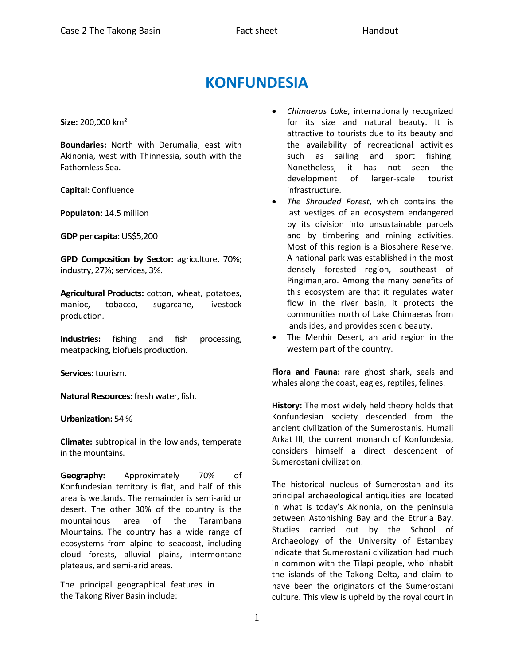## **KONFUNDESIA**

**Size:** 200,000 km²

**Boundaries:** North with Derumalia, east with Akinonia, west with Thinnessia, south with the Fathomless Sea.

**Capital:** Confluence

**Populaton:** 14.5 million

**GDP per capita:** US\$5,200

**GPD Composition by Sector:** agriculture, 70%; industry, 27%; services, 3%.

**Agricultural Products:** cotton, wheat, potatoes, manioc, tobacco, sugarcane, livestock production.

**Industries:** fishing and fish processing, meatpacking, biofuels production.

**Services:** tourism.

**Natural Resources:** fresh water, fish.

## **Urbanization:** 54 %

**Climate:** subtropical in the lowlands, temperate in the mountains.

**Geography:** Approximately 70% of Konfundesian territory is flat, and half of this area is wetlands. The remainder is semi-arid or desert. The other 30% of the country is the mountainous area of the Tarambana Mountains. The country has a wide range of ecosystems from alpine to seacoast, including cloud forests, alluvial plains, intermontane plateaus, and semi-arid areas.

The principal geographical features in the Takong River Basin include:

- *Chimaeras Lake*, internationally recognized for its size and natural beauty. It is attractive to tourists due to its beauty and the availability of recreational activities such as sailing and sport fishing. Nonetheless, it has not seen the development of larger-scale tourist infrastructure.
- *The Shrouded Forest*, which contains the last vestiges of an ecosystem endangered by its division into unsustainable parcels and by timbering and mining activities. Most of this region is a Biosphere Reserve. A national park was established in the most densely forested region, southeast of Pingimanjaro. Among the many benefits of this ecosystem are that it regulates water flow in the river basin, it protects the communities north of Lake Chimaeras from landslides, and provides scenic beauty.
- The Menhir Desert, an arid region in the western part of the country.

**Flora and Fauna:** rare ghost shark, seals and whales along the coast, eagles, reptiles, felines.

**History:** The most widely held theory holds that Konfundesian society descended from the ancient civilization of the Sumerostanis. Humali Arkat III, the current monarch of Konfundesia, considers himself a direct descendent of Sumerostani civilization.

The historical nucleus of Sumerostan and its principal archaeological antiquities are located in what is today's Akinonia, on the peninsula between Astonishing Bay and the Etruria Bay. Studies carried out by the School of Archaeology of the University of Estambay indicate that Sumerostani civilization had much in common with the Tilapi people, who inhabit the islands of the Takong Delta, and claim to have been the originators of the Sumerostani culture. This view is upheld by the royal court in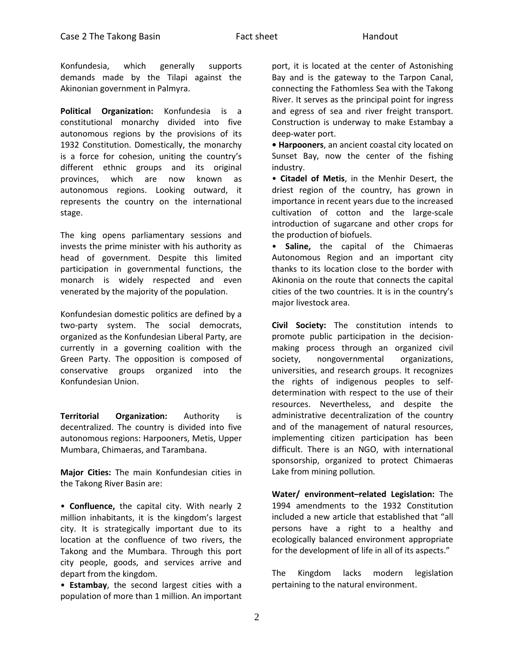Konfundesia, which generally supports demands made by the Tilapi against the Akinonian government in Palmyra.

**Political Organization:** Konfundesia is a constitutional monarchy divided into five autonomous regions by the provisions of its 1932 Constitution. Domestically, the monarchy is a force for cohesion, uniting the country's different ethnic groups and its original provinces, which are now known as autonomous regions. Looking outward, it represents the country on the international stage.

The king opens parliamentary sessions and invests the prime minister with his authority as head of government. Despite this limited participation in governmental functions, the monarch is widely respected and even venerated by the majority of the population.

Konfundesian domestic politics are defined by a two-party system. The social democrats, organized as the Konfundesian Liberal Party, are currently in a governing coalition with the Green Party. The opposition is composed of conservative groups organized into the Konfundesian Union.

**Territorial Organization:** Authority is decentralized. The country is divided into five autonomous regions: Harpooners, Metis, Upper Mumbara, Chimaeras, and Tarambana.

**Major Cities:** The main Konfundesian cities in the Takong River Basin are:

• **Confluence,** the capital city. With nearly 2 million inhabitants, it is the kingdom's largest city. It is strategically important due to its location at the confluence of two rivers, the Takong and the Mumbara. Through this port city people, goods, and services arrive and depart from the kingdom.

• **Estambay**, the second largest cities with a population of more than 1 million. An important

port, it is located at the center of Astonishing Bay and is the gateway to the Tarpon Canal, connecting the Fathomless Sea with the Takong River. It serves as the principal point for ingress and egress of sea and river freight transport. Construction is underway to make Estambay a deep-water port.

**• Harpooners**, an ancient coastal city located on Sunset Bay, now the center of the fishing industry.

• **Citadel of Metis**, in the Menhir Desert, the driest region of the country, has grown in importance in recent years due to the increased cultivation of cotton and the large-scale introduction of sugarcane and other crops for the production of biofuels.

• **Saline,** the capital of the Chimaeras Autonomous Region and an important city thanks to its location close to the border with Akinonia on the route that connects the capital cities of the two countries. It is in the country's major livestock area.

**Civil Society:** The constitution intends to promote public participation in the decisionmaking process through an organized civil society, nongovernmental organizations, universities, and research groups. It recognizes the rights of indigenous peoples to selfdetermination with respect to the use of their resources. Nevertheless, and despite the administrative decentralization of the country and of the management of natural resources, implementing citizen participation has been difficult. There is an NGO, with international sponsorship, organized to protect Chimaeras Lake from mining pollution.

**Water/ environment–related Legislation:** The 1994 amendments to the 1932 Constitution included a new article that established that "all persons have a right to a healthy and ecologically balanced environment appropriate for the development of life in all of its aspects."

The Kingdom lacks modern legislation pertaining to the natural environment.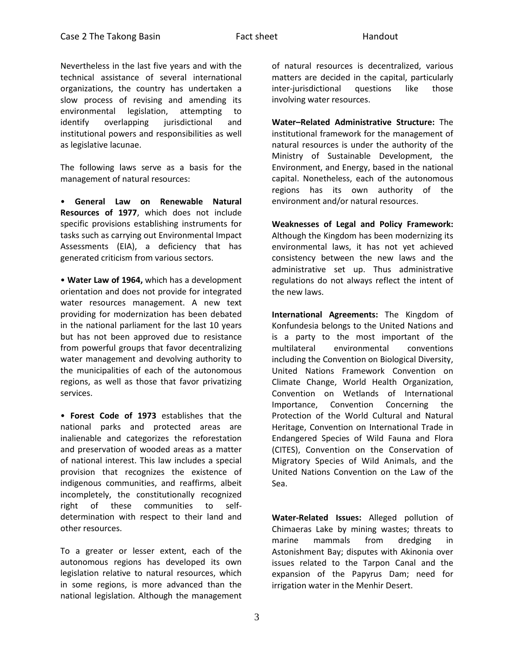Nevertheless in the last five years and with the technical assistance of several international organizations, the country has undertaken a slow process of revising and amending its environmental legislation, attempting to identify overlapping jurisdictional and institutional powers and responsibilities as well as legislative lacunae.

The following laws serve as a basis for the management of natural resources:

• **General Law on Renewable Natural Resources of 1977**, which does not include specific provisions establishing instruments for tasks such as carrying out Environmental Impact Assessments (EIA), a deficiency that has generated criticism from various sectors.

• **Water Law of 1964,** which has a development orientation and does not provide for integrated water resources management. A new text providing for modernization has been debated in the national parliament for the last 10 years but has not been approved due to resistance from powerful groups that favor decentralizing water management and devolving authority to the municipalities of each of the autonomous regions, as well as those that favor privatizing services.

• **Forest Code of 1973** establishes that the national parks and protected areas are inalienable and categorizes the reforestation and preservation of wooded areas as a matter of national interest. This law includes a special provision that recognizes the existence of indigenous communities, and reaffirms, albeit incompletely, the constitutionally recognized right of these communities to selfdetermination with respect to their land and other resources.

To a greater or lesser extent, each of the autonomous regions has developed its own legislation relative to natural resources, which in some regions, is more advanced than the national legislation. Although the management

of natural resources is decentralized, various matters are decided in the capital, particularly inter-jurisdictional questions like those involving water resources.

**Water–Related Administrative Structure:** The institutional framework for the management of natural resources is under the authority of the Ministry of Sustainable Development, the Environment, and Energy, based in the national capital. Nonetheless, each of the autonomous regions has its own authority of the environment and/or natural resources.

**Weaknesses of Legal and Policy Framework:**  Although the Kingdom has been modernizing its environmental laws, it has not yet achieved consistency between the new laws and the administrative set up. Thus administrative regulations do not always reflect the intent of the new laws.

**International Agreements:** The Kingdom of Konfundesia belongs to the United Nations and is a party to the most important of the multilateral environmental conventions including the Convention on Biological Diversity, United Nations Framework Convention on Climate Change, World Health Organization, Convention on Wetlands of International Importance, Convention Concerning the Protection of the World Cultural and Natural Heritage, Convention on International Trade in Endangered Species of Wild Fauna and Flora (CITES), Convention on the Conservation of Migratory Species of Wild Animals, and the United Nations Convention on the Law of the Sea.

**Water-Related Issues:** Alleged pollution of Chimaeras Lake by mining wastes; threats to marine mammals from dredging in Astonishment Bay; disputes with Akinonia over issues related to the Tarpon Canal and the expansion of the Papyrus Dam; need for irrigation water in the Menhir Desert.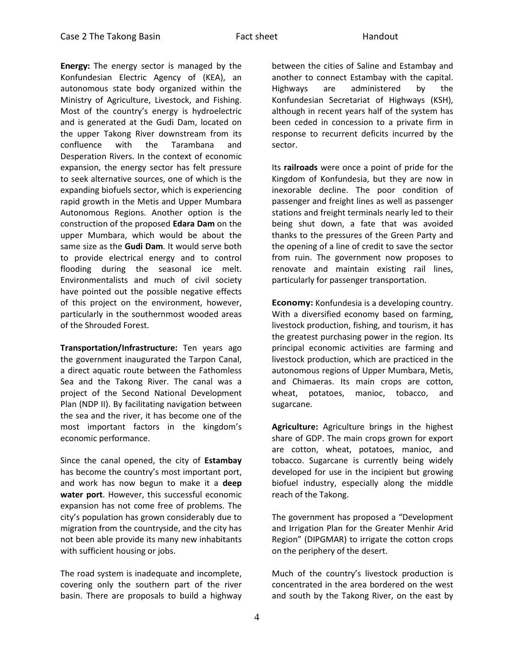**Energy:** The energy sector is managed by the Konfundesian Electric Agency of (KEA), an autonomous state body organized within the Ministry of Agriculture, Livestock, and Fishing. Most of the country's energy is hydroelectric and is generated at the Gudi Dam, located on the upper Takong River downstream from its confluence with the Tarambana and Desperation Rivers. In the context of economic expansion, the energy sector has felt pressure to seek alternative sources, one of which is the expanding biofuels sector, which is experiencing rapid growth in the Metis and Upper Mumbara Autonomous Regions. Another option is the construction of the proposed **Edara Dam** on the upper Mumbara, which would be about the same size as the **Gudi Dam**. It would serve both to provide electrical energy and to control flooding during the seasonal ice melt. Environmentalists and much of civil society have pointed out the possible negative effects of this project on the environment, however, particularly in the southernmost wooded areas of the Shrouded Forest.

**Transportation/Infrastructure:** Ten years ago the government inaugurated the Tarpon Canal, a direct aquatic route between the Fathomless Sea and the Takong River. The canal was a project of the Second National Development Plan (NDP II). By facilitating navigation between the sea and the river, it has become one of the most important factors in the kingdom's economic performance.

Since the canal opened, the city of **Estambay**  has become the country's most important port, and work has now begun to make it a **deep water port**. However, this successful economic expansion has not come free of problems. The city's population has grown considerably due to migration from the countryside, and the city has not been able provide its many new inhabitants with sufficient housing or jobs.

The road system is inadequate and incomplete, covering only the southern part of the river basin. There are proposals to build a highway

between the cities of Saline and Estambay and another to connect Estambay with the capital. Highways are administered by the Konfundesian Secretariat of Highways (KSH), although in recent years half of the system has been ceded in concession to a private firm in response to recurrent deficits incurred by the sector.

Its **railroads** were once a point of pride for the Kingdom of Konfundesia, but they are now in inexorable decline. The poor condition of passenger and freight lines as well as passenger stations and freight terminals nearly led to their being shut down, a fate that was avoided thanks to the pressures of the Green Party and the opening of a line of credit to save the sector from ruin. The government now proposes to renovate and maintain existing rail lines, particularly for passenger transportation.

**Economy:** Konfundesia is a developing country. With a diversified economy based on farming, livestock production, fishing, and tourism, it has the greatest purchasing power in the region. Its principal economic activities are farming and livestock production, which are practiced in the autonomous regions of Upper Mumbara, Metis, and Chimaeras. Its main crops are cotton, wheat, potatoes, manioc, tobacco, and sugarcane.

**Agriculture:** Agriculture brings in the highest share of GDP. The main crops grown for export are cotton, wheat, potatoes, manioc, and tobacco. Sugarcane is currently being widely developed for use in the incipient but growing biofuel industry, especially along the middle reach of the Takong.

The government has proposed a "Development and Irrigation Plan for the Greater Menhir Arid Region" (DIPGMAR) to irrigate the cotton crops on the periphery of the desert.

Much of the country's livestock production is concentrated in the area bordered on the west and south by the Takong River, on the east by